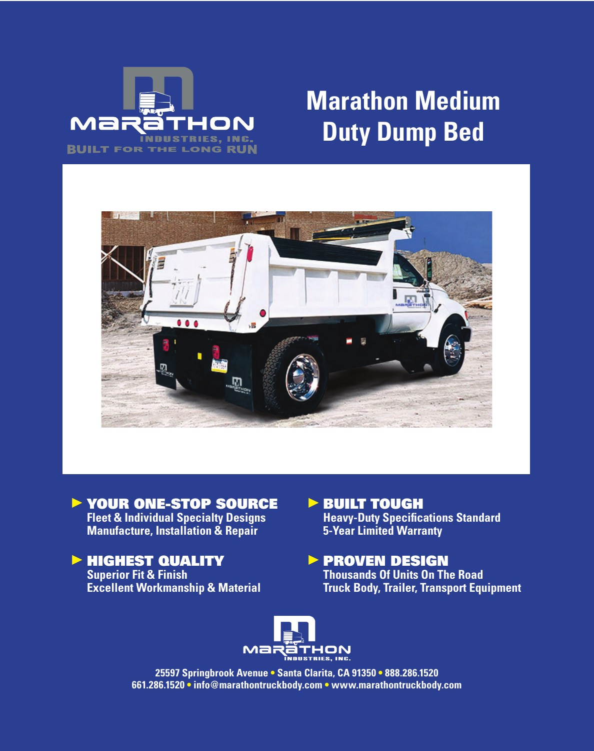

# **Marathon Medium Duty Dump Bed**



▶ YOUR ONE-STOP SOURCE **Fleet & Individual Specialty Designs Manufacture, Installation & Repair**

# **EXPLOYED TO ALLETY**

**Superior Fit & Finish Excellent Workmanship & Material**

# **BUILT TOUGH**

**Heavy-Duty Specifications Standard 5-Year Limited Warranty**

### **PROVEN DESIGN Thousands Of Units On The Road Truck Body, Trailer, Transport Equipment**



**25597 Springbrook Avenue • Santa Clarita, CA 91350 • 888.286.1520 661.286.1520 • info@marathontruckbody.com • www.marathontruckbody.com**